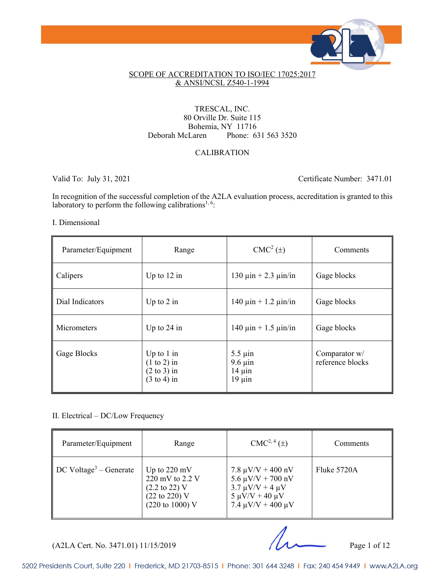

#### SCOPE OF ACCREDITATION TO ISO/IEC 17025:2017 & ANSI/NCSL Z540-1-1994

#### TRESCAL, INC. 80 Orville Dr. Suite 115 Bohemia, NY 11716 Deborah McLaren Phone: 631 563 3520

#### CALIBRATION

Valid To: July 31, 2021 Certificate Number: 3471.01

In recognition of the successful completion of the A2LA evaluation process, accreditation is granted to this laboratory to perform the following calibrations<sup>1, 6</sup>:

#### I. Dimensional

| Parameter/Equipment | Range                                                                             | $CMC2(\pm)$                                                | Comments                          |
|---------------------|-----------------------------------------------------------------------------------|------------------------------------------------------------|-----------------------------------|
| Calipers            | Up to $12$ in                                                                     | 130 $\mu$ in + 2.3 $\mu$ in/in                             | Gage blocks                       |
| Dial Indicators     | Up to $2$ in                                                                      | $140 \mu$ in + 1.2 $\mu$ in/in                             | Gage blocks                       |
| <b>Micrometers</b>  | Up to $24$ in                                                                     | $140 \mu$ in + 1.5 $\mu$ in/in                             | Gage blocks                       |
| Gage Blocks         | Up to $1$ in<br>$(1 to 2)$ in<br>$(2 \text{ to } 3)$ in<br>$(3 \text{ to } 4)$ in | $5.5 \mu$ in<br>$9.6 \mu$ in<br>$14 \mu$ in<br>$19 \mu$ in | Comparator w/<br>reference blocks |

#### II. Electrical – DC/Low Frequency

| Parameter/Equipment                            | Range                                                                                                                           | $CMC2, 4(\pm)$                                                                                                                                     | Comments    |
|------------------------------------------------|---------------------------------------------------------------------------------------------------------------------------------|----------------------------------------------------------------------------------------------------------------------------------------------------|-------------|
| $\parallel$ DC Voltage <sup>3</sup> – Generate | Up to $220 \text{ mV}$<br>220 mV to 2.2 V<br>$(2.2 \text{ to } 22)$ V<br>$(22 \text{ to } 220)$ V<br>$(220 \text{ to } 1000)$ V | $7.8 \mu V/V + 400 \text{ nV}$<br>$5.6 \mu V/V + 700 \text{ nV}$<br>$3.7 \mu V/V + 4 \mu V$<br>$5 \mu V/V + 40 \mu V$<br>$7.4 \mu V/V + 400 \mu V$ | Fluke 5720A |

(A2LA Cert. No. 3471.01) 11/15/2019 Page 1 of 12

5202 Presidents Court, Suite 220 | Frederick, MD 21703-8515 | Phone: 301 644 3248 | Fax: 240 454 9449 | www.A2LA.org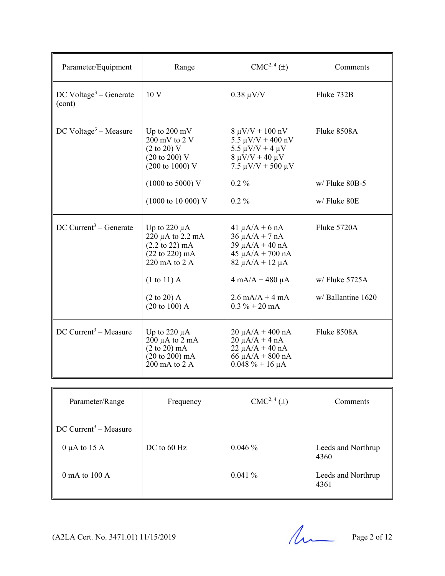| Parameter/Equipment                          | Range                                                                                                                                                          | $CMC2, 4(\pm)$                                                                                                                         | Comments                           |
|----------------------------------------------|----------------------------------------------------------------------------------------------------------------------------------------------------------------|----------------------------------------------------------------------------------------------------------------------------------------|------------------------------------|
| DC Voltage <sup>3</sup> – Generate<br>(cont) | 10 <sub>V</sub>                                                                                                                                                | $0.38 \mu V/V$                                                                                                                         | Fluke 732B                         |
| DC Voltage <sup>3</sup> – Measure            | Up to $200 \text{ mV}$<br>$200 \text{ mV}$ to $2 \text{V}$<br>$(2 \text{ to } 20)$ V<br>$(20 \text{ to } 200) \text{ V}$<br>$(200 \text{ to } 1000) \text{ V}$ | $8 \mu V/V + 100 \ nV$<br>$5.5 \mu V/V + 400 \ nV$<br>5.5 $\mu$ V/V + 4 $\mu$ V<br>$8 \mu V/V + 40 \mu V$<br>$7.5 \mu V/V + 500 \mu V$ | Fluke 8508A                        |
|                                              | $(1000 \text{ to } 5000) \text{ V}$<br>$(1000 \text{ to } 10000) \text{ V}$                                                                                    | $0.2\%$<br>$0.2\%$                                                                                                                     | $w/$ Fluke 80B-5<br>w/Fluke 80E    |
| $DC$ Current <sup>3</sup> – Generate         | Up to 220 $\mu$ A<br>220 µA to 2.2 mA<br>$(2.2 \text{ to } 22) \text{ mA}$<br>$(22 \text{ to } 220) \text{ mA}$<br>220 mA to $2 \text{ A}$                     | $41 \mu A/A + 6 nA$<br>$36 \mu A/A + 7 nA$<br>$39 \mu A/A + 40 nA$<br>$45 \mu A/A + 700 \text{ nA}$<br>$82 \mu A/A + 12 \mu A$         | Fluke 5720A                        |
|                                              | $(1 to 11)$ A<br>$(2 \text{ to } 20)$ A<br>$(20 \text{ to } 100)$ A                                                                                            | $4 \text{ mA}/A + 480 \mu A$<br>$2.6 \text{ mA/A} + 4 \text{ mA}$<br>$0.3 \% + 20$ mA                                                  | w/Fluke 5725A<br>w/Ballantine 1620 |
| DC Current <sup>3</sup> – Measure            | Up to 220 $\mu$ A<br>$200 \mu A$ to $2 \mu A$<br>$(2 \text{ to } 20) \text{ mA}$<br>$(20 \text{ to } 200) \text{ mA}$<br>$200 \text{ mA}$ to $2 \text{ A}$     | $20 \mu A/A + 400 nA$<br>$20 \mu A/A + 4 nA$<br>$22 \mu A/A + 40 nA$<br>$66 \mu A/A + 800 \text{ nA}$<br>$0.048 \% + 16 \mu A$         | Fluke 8508A                        |

| Parameter/Range                                                                               | Frequency   | CMC <sup>2, 4</sup> (±) | Comments                                                 |
|-----------------------------------------------------------------------------------------------|-------------|-------------------------|----------------------------------------------------------|
| $DC$ Current <sup>3</sup> – Measure<br>$0 \mu A$ to 15 A<br>$0 \text{ mA}$ to $100 \text{ A}$ | DC to 60 Hz | $0.046\%$<br>0.041%     | Leeds and Northrup<br>4360<br>Leeds and Northrup<br>4361 |

 $(A2LA$  Cert. No. 3471.01) 11/15/2019 Page 2 of 12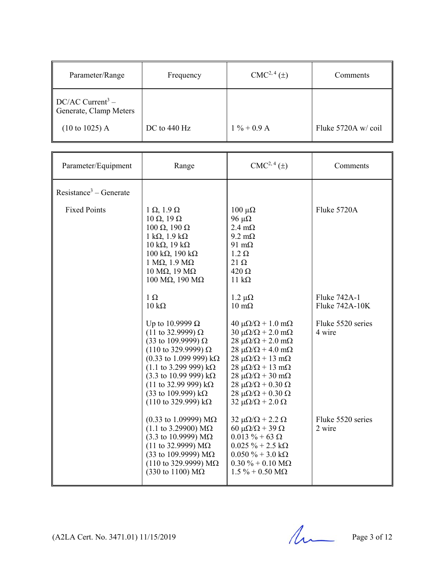| Parameter/Range                                          | Frequency    | $CMC2, 4(\pm)$ | Comments           |
|----------------------------------------------------------|--------------|----------------|--------------------|
| $DC/AC$ Current <sup>3</sup> –<br>Generate, Clamp Meters |              |                |                    |
| $(10 \text{ to } 1025)$ A                                | DC to 440 Hz | $1\% + 0.9$ A  | Fluke 5720A w/coil |

| Parameter/Equipment                | Range                                                                                                                                                                                                                                                                                                                                                                                                                      | $CMC2, 4(\pm)$                                                                                                                                                                                                                                                                                                                                                                                                                       | Comments                    |
|------------------------------------|----------------------------------------------------------------------------------------------------------------------------------------------------------------------------------------------------------------------------------------------------------------------------------------------------------------------------------------------------------------------------------------------------------------------------|--------------------------------------------------------------------------------------------------------------------------------------------------------------------------------------------------------------------------------------------------------------------------------------------------------------------------------------------------------------------------------------------------------------------------------------|-----------------------------|
| Resistance <sup>3</sup> – Generate |                                                                                                                                                                                                                                                                                                                                                                                                                            |                                                                                                                                                                                                                                                                                                                                                                                                                                      |                             |
| <b>Fixed Points</b>                | $1 \Omega$ , $1.9 \Omega$<br>$10 \Omega$ , $19 \Omega$<br>$100 \Omega$ , $190 \Omega$<br>$1 k\Omega$ , $1.9 k\Omega$<br>$10 \text{ k}\Omega$ , $19 \text{ k}\Omega$<br>$100 \text{ k}\Omega$ , $190 \text{ k}\Omega$<br>$1 M\Omega$ , $1.9 M\Omega$<br>$10$ MΩ, $19$ MΩ<br>$100$ MΩ, $190$ MΩ<br>$1 \Omega$                                                                                                                | $100 \mu\Omega$<br>96 μ $\Omega$<br>$2.4 \text{ m}\Omega$<br>$9.2 \text{ m}\Omega$<br>91 $m\Omega$<br>$1.2 \Omega$<br>$21 \Omega$<br>$420 \Omega$<br>$11 k\Omega$<br>$1.2 \mu\Omega$                                                                                                                                                                                                                                                 | Fluke 5720A<br>Fluke 742A-1 |
|                                    | $10 \text{ k}\Omega$                                                                                                                                                                                                                                                                                                                                                                                                       | $10 \text{ mA}$                                                                                                                                                                                                                                                                                                                                                                                                                      | Fluke 742A-10K              |
|                                    | Up to 10.9999 $\Omega$<br>$(11$ to 32.9999) Ω<br>(33 to 109.9999) $\Omega$<br>$(110 \text{ to } 329.9999) \Omega$<br>$(0.33 \text{ to } 1.099 \text{ 999}) \text{ k}\Omega$<br>$(1.1 \text{ to } 3.299 \text{ 999}) \text{ k}\Omega$<br>$(3.3 \text{ to } 10.99 \text{ 999}) \text{ k}\Omega$<br>$(11 \text{ to } 32.99 \text{ 999}) \text{ k}\Omega$<br>(33 to 109.999) kΩ<br>$(110 \text{ to } 329.999) \text{ k}\Omega$ | $40 \mu\Omega/\Omega + 1.0 \text{ m}\Omega$<br>$30 \mu\Omega/\Omega$ + 2.0 m $\Omega$<br>$28 \mu\Omega/\Omega$ + 2.0 m $\Omega$<br>$28 \mu\Omega/\Omega + 4.0 \text{ m}\Omega$<br>$28 \mu\Omega/\Omega + 13 \text{ mA}$<br>$28 \mu\Omega/\Omega + 13 \text{ mA}$<br>$28 \mu\Omega/\Omega + 30 \text{ m}\Omega$<br>$28 \mu\Omega/\Omega + 0.30 \Omega$<br>$28 \mu\Omega/\Omega + 0.30 \Omega$<br>$32 \mu\Omega/\Omega$ + 2.0 $\Omega$ | Fluke 5520 series<br>4 wire |
|                                    | $(0.33 \text{ to } 1.09999) \text{ M}\Omega$<br>$(1.1 \text{ to } 3.29900) \text{ M}\Omega$<br>$(3.3 \text{ to } 10.9999) \text{ M}\Omega$<br>$(11$ to 32.9999) MΩ<br>(33 to 109.9999) $M\Omega$<br>$(110 \text{ to } 329.9999) \text{ M}\Omega$<br>$(330 \text{ to } 1100) \text{ M}\Omega$                                                                                                                               | $32 \mu\Omega/\Omega$ + 2.2 $\Omega$<br>60 μ $\Omega/\Omega$ + 39 $\Omega$<br>$0.013 \% + 63 \Omega$<br>$0.025 \% + 2.5 k\Omega$<br>$0.050\% + 3.0 \text{ k}\Omega$<br>$0.30\% + 0.10\ M\Omega$<br>$1.5\% + 0.50 \text{ M}\Omega$                                                                                                                                                                                                    | Fluke 5520 series<br>2 wire |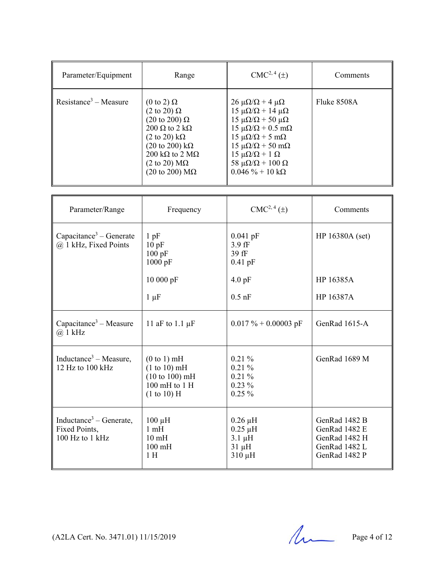| Parameter/Equipment               | Range                                                                                                                                                                                                                                                                                                          | $CMC2, 4(\pm)$                                                                                                                                                                                                                                                                                                                                       | Comments    |
|-----------------------------------|----------------------------------------------------------------------------------------------------------------------------------------------------------------------------------------------------------------------------------------------------------------------------------------------------------------|------------------------------------------------------------------------------------------------------------------------------------------------------------------------------------------------------------------------------------------------------------------------------------------------------------------------------------------------------|-------------|
| Resistance <sup>3</sup> – Measure | $(0 \text{ to } 2) \Omega$<br>$(2 \text{ to } 20) \Omega$<br>$(20 \text{ to } 200) \Omega$<br>$200 \Omega$ to $2 k\Omega$<br>$(2 \text{ to } 20) \text{ k}\Omega$<br>$(20 \text{ to } 200) \text{ k}\Omega$<br>200 k $\Omega$ to 2 M $\Omega$<br>$(2 \text{ to } 20) \text{ M}\Omega$<br>(20 to 200) $M\Omega$ | $26 \mu\Omega/\Omega + 4 \mu\Omega$<br>$15 \mu\Omega/\Omega + 14 \mu\Omega$<br>15 μ $\Omega/\Omega$ + 50 μ $\Omega$<br>$15 \mu\Omega/\Omega + 0.5 \text{ mA}$<br>$15 \mu\Omega/\Omega + 5 \mu\Omega$<br>$15 \mu\Omega/\Omega + 50 \text{ mA}$<br>$15 \mu\Omega/\Omega + 1 \Omega$<br>58 $\mu\Omega/\Omega$ + 100 $\Omega$<br>$0.046 \% + 10 k\Omega$ | Fluke 8508A |

| Parameter/Range                                                         | Frequency                                                                         | CMC <sup>2, 4</sup> (±)                                                  | Comments                                                                          |
|-------------------------------------------------------------------------|-----------------------------------------------------------------------------------|--------------------------------------------------------------------------|-----------------------------------------------------------------------------------|
| Capacitance <sup>3</sup> – Generate<br>@ 1 kHz, Fixed Points            | $1$ pF<br>10pF<br>100 pF<br>1000 pF                                               | $0.041$ pF<br>3.9 fF<br>39 fF<br>$0.41$ pF                               | HP 16380A (set)                                                                   |
|                                                                         | 10 000 pF                                                                         | $4.0$ pF                                                                 | HP 16385A                                                                         |
|                                                                         | $1 \mu F$                                                                         | $0.5$ nF                                                                 | HP 16387A                                                                         |
| Capacitance <sup>3</sup> – Measure<br>$(a)$ 1 kHz                       | 11 aF to 1.1 $\mu$ F                                                              | $0.017 \% + 0.00003$ pF                                                  | GenRad 1615-A                                                                     |
| Inductance <sup>3</sup> – Measure,<br>12 Hz to 100 kHz                  | (0 to 1) mH<br>(1 to 10) mH<br>(10 to 100) mH<br>$100$ mH to $1$ H<br>(1 to 10) H | $0.21\%$<br>0.21%<br>0.21%<br>$0.23\%$<br>$0.25 \%$                      | GenRad 1689 M                                                                     |
| Inductance <sup>3</sup> – Generate,<br>Fixed Points,<br>100 Hz to 1 kHz | $100 \mu H$<br>1 <sub>m</sub> H<br>$10 \text{ mH}$<br>$100$ mH<br>1H              | $0.26 \mu H$<br>$0.25 \mu H$<br>$3.1 \mu H$<br>$31 \mu H$<br>$310 \mu H$ | GenRad 1482 B<br>GenRad 1482 E<br>GenRad 1482 H<br>GenRad 1482 L<br>GenRad 1482 P |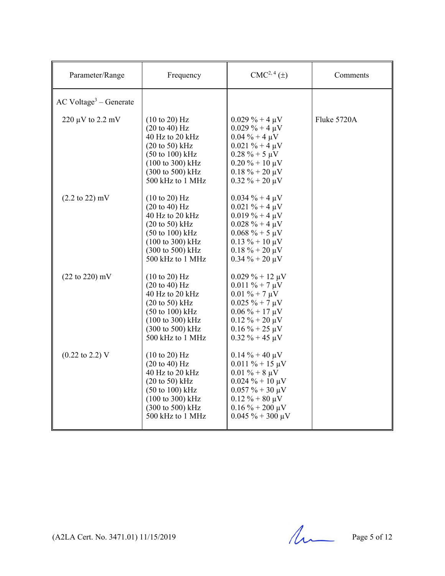| Parameter/Range                      | Frequency                                                                                                                                                                                                                                            | $CMC2, 4(\pm)$                                                                                                                                                                                 | Comments    |
|--------------------------------------|------------------------------------------------------------------------------------------------------------------------------------------------------------------------------------------------------------------------------------------------------|------------------------------------------------------------------------------------------------------------------------------------------------------------------------------------------------|-------------|
| $AC$ Voltage <sup>3</sup> – Generate |                                                                                                                                                                                                                                                      |                                                                                                                                                                                                |             |
| $220 \mu V$ to $2.2 \mu V$           | $(10 \text{ to } 20)$ Hz<br>$(20 \text{ to } 40) \text{ Hz}$<br>40 Hz to 20 kHz<br>$(20 \text{ to } 50)$ kHz<br>$(50 \text{ to } 100) \text{ kHz}$<br>$(100 \text{ to } 300) \text{ kHz}$<br>$(300 \text{ to } 500) \text{ kHz}$<br>500 kHz to 1 MHz | $0.029\% + 4 \mu V$<br>$0.029\% + 4 \mu V$<br>$0.04\% + 4 \mu V$<br>$0.021 \% + 4 \mu V$<br>$0.28 \% + 5 \mu V$<br>$0.20\% + 10 \mu V$<br>$0.18 \% + 20 \mu V$<br>$0.32 \% + 20 \mu V$         | Fluke 5720A |
| $(2.2 \text{ to } 22) \text{ mV}$    | $(10 \text{ to } 20)$ Hz<br>$(20 \text{ to } 40)$ Hz<br>40 Hz to 20 kHz<br>$(20 \text{ to } 50)$ kHz<br>$(50 \text{ to } 100) \text{ kHz}$<br>$(100 \text{ to } 300) \text{ kHz}$<br>$(300 \text{ to } 500) \text{ kHz}$<br>500 kHz to 1 MHz         | $0.034 \% + 4 \mu V$<br>$0.021 \% + 4 \mu V$<br>$0.019\% + 4 \mu V$<br>$0.028 \% + 4 \mu V$<br>$0.068 \% + 5 \mu V$<br>$0.13 \% + 10 \mu V$<br>$0.18 \% + 20 \mu V$<br>$0.34 \% + 20 \mu V$    |             |
| $(22 \text{ to } 220) \text{ mV}$    | $(10 \text{ to } 20)$ Hz<br>$(20 \text{ to } 40)$ Hz<br>40 Hz to 20 kHz<br>$(20 \text{ to } 50)$ kHz<br>$(50 \text{ to } 100) \text{ kHz}$<br>$(100 \text{ to } 300) \text{ kHz}$<br>$(300 \text{ to } 500) \text{ kHz}$<br>500 kHz to 1 MHz         | $0.029\% + 12 \mu V$<br>$0.011 \% + 7 \mu V$<br>$0.01 \% + 7 \mu V$<br>$0.025 \% + 7 \mu V$<br>$0.06\% + 17 \mu V$<br>$0.12 \% + 20 \mu V$<br>$0.16\% + 25 \mu V$<br>$0.32 \% + 45 \mu V$      |             |
| $(0.22 \text{ to } 2.2) \text{ V}$   | $(10 \text{ to } 20)$ Hz<br>$(20 \text{ to } 40) \text{ Hz}$<br>40 Hz to 20 kHz<br>$(20 \text{ to } 50)$ kHz<br>$(50 \text{ to } 100) \text{ kHz}$<br>$(100 \text{ to } 300) \text{ kHz}$<br>(300 to 500) kHz<br>500 kHz to 1 MHz                    | $0.14\% + 40 \mu V$<br>$0.011\% + 15 \mu V$<br>$0.01 \% + 8 \mu V$<br>$0.024 \% + 10 \mu V$<br>$0.057 \% + 30 \mu V$<br>$0.12 \% + 80 \mu V$<br>$0.16\% + 200 \mu V$<br>$0.045 \% + 300 \mu V$ |             |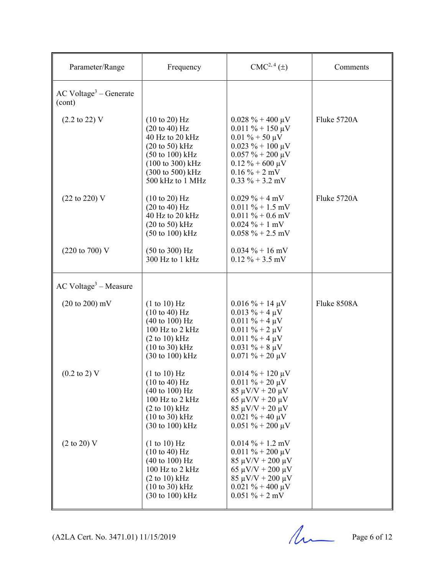| Parameter/Range                                | Frequency                                                                                                                                                                                                                         | CMC <sup>2, 4</sup> (±)                                                                                                                                                                       | Comments    |
|------------------------------------------------|-----------------------------------------------------------------------------------------------------------------------------------------------------------------------------------------------------------------------------------|-----------------------------------------------------------------------------------------------------------------------------------------------------------------------------------------------|-------------|
| $AC$ Voltage <sup>3</sup> – Generate<br>(cont) |                                                                                                                                                                                                                                   |                                                                                                                                                                                               |             |
| $(2.2 \text{ to } 22) \text{ V}$               | $(10 \text{ to } 20)$ Hz<br>$(20 \text{ to } 40) \text{ Hz}$<br>40 Hz to 20 kHz<br>$(20 \text{ to } 50)$ kHz<br>$(50 \text{ to } 100) \text{ kHz}$<br>$(100 \text{ to } 300) \text{ kHz}$<br>(300 to 500) kHz<br>500 kHz to 1 MHz | $0.028 \% + 400 \mu V$<br>$0.011 \% + 150 \mu V$<br>$0.01\% + 50 \mu V$<br>$0.023 \% + 100 \mu V$<br>$0.057 \% + 200 \mu V$<br>$0.12 \% + 600 \mu V$<br>$0.16\% + 2$ mV<br>$0.33 \% + 3.2$ mV | Fluke 5720A |
| (22 to 220) V                                  | $(10 \text{ to } 20)$ Hz<br>$(20 \text{ to } 40)$ Hz<br>40 Hz to 20 kHz<br>$(20 \text{ to } 50)$ kHz<br>$(50 \text{ to } 100) \text{ kHz}$                                                                                        | $0.029\% + 4 mV$<br>$0.011\% + 1.5$ mV<br>$0.011\% + 0.6$ mV<br>$0.024 \% + 1 mV$<br>$0.058 \% + 2.5$ mV                                                                                      | Fluke 5720A |
| $(220 \text{ to } 700) \text{ V}$              | $(50 \text{ to } 300) \text{ Hz}$<br>300 Hz to 1 kHz                                                                                                                                                                              | $0.034\% + 16$ mV<br>$0.12\% + 3.5$ mV                                                                                                                                                        |             |
| $AC$ Voltage <sup>3</sup> – Measure            |                                                                                                                                                                                                                                   |                                                                                                                                                                                               |             |
| $(20 \text{ to } 200) \text{ mV}$              | (1 to 10) Hz<br>$(10 \text{ to } 40) \text{ Hz}$<br>$(40 \text{ to } 100) \text{ Hz}$<br>100 Hz to 2 kHz<br>$(2 to 10)$ kHz<br>$(10 \text{ to } 30) \text{ kHz}$<br>(30 to 100) kHz                                               | $0.016 \% + 14 \mu V$<br>$0.013 \% + 4 \mu V$<br>$0.011 \% + 4 \mu V$<br>$0.011 \% + 2 \mu V$<br>$0.011 \% + 4 \mu V$<br>$0.031 \% + 8 \mu V$<br>$0.071 \% + 20 \mu V$                        | Fluke 8508A |
| $(0.2 \text{ to } 2) \text{ V}$                | (1 to 10) Hz<br>(10 to 40) Hz<br>$(40 \text{ to } 100) \text{ Hz}$<br>100 Hz to 2 kHz<br>$(2 \text{ to } 10) \text{ kHz}$<br>$(10 \text{ to } 30) \text{ kHz}$<br>$(30 \text{ to } 100) \text{ kHz}$                              | $0.014\% + 120 \,\mu\text{V}$<br>$0.011 \% + 20 \mu V$<br>$85 \mu V/V + 20 \mu V$<br>$65 \mu V/V + 20 \mu V$<br>$85 \mu V/V + 20 \mu V$<br>$0.021 \% + 40 \mu V$<br>$0.051 \% + 200 \mu V$    |             |
| $(2 \text{ to } 20)$ V                         | (1 to 10) Hz<br>$(10 \text{ to } 40) \text{ Hz}$<br>$(40 \text{ to } 100) \text{ Hz}$<br>100 Hz to 2 kHz<br>$(2 \text{ to } 10) \text{ kHz}$<br>$(10 \text{ to } 30) \text{ kHz}$<br>$(30 \text{ to } 100) \text{ kHz}$           | $0.014\% + 1.2$ mV<br>$0.011 \% + 200 \mu V$<br>$85 \mu V/V + 200 \mu V$<br>$65 \mu V/V + 200 \mu V$<br>$85 \mu V/V + 200 \mu V$<br>$0.021 \% + 400 \mu V$<br>$0.051 \% + 2 mV$               |             |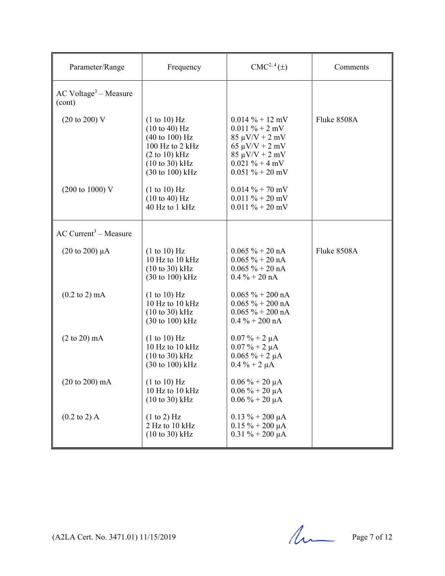| Parameter/Range                               | Frequency                                                                                                                                                                                    | $CMC2, 4(\pm)$                                                                                                                                                    | Comments    |
|-----------------------------------------------|----------------------------------------------------------------------------------------------------------------------------------------------------------------------------------------------|-------------------------------------------------------------------------------------------------------------------------------------------------------------------|-------------|
| $AC$ Voltage <sup>3</sup> – Measure<br>(cont) |                                                                                                                                                                                              |                                                                                                                                                                   |             |
| $(20 \text{ to } 200) \text{ V}$              | (1 to 10) Hz<br>$(10 \text{ to } 40) \text{ Hz}$<br>$(40 \text{ to } 100) \text{ Hz}$<br>100 Hz to 2 kHz<br>(2 to 10) kHz<br>$(10 \text{ to } 30)$ kHz<br>$(30 \text{ to } 100) \text{ kHz}$ | $0.014\% + 12 \text{ mV}$<br>$0.011 \% + 2 mV$<br>$85 \mu V/V + 2 mV$<br>$65 \mu V/V + 2 \mu V$<br>$85 \mu V/V + 2 mV$<br>$0.021 \% + 4 mV$<br>$0.051 \% + 20$ mV | Fluke 8508A |
| $(200 \text{ to } 1000) \text{ V}$            | (1 to 10) Hz<br>(10 to 40) Hz<br>40 Hz to 1 kHz                                                                                                                                              | $0.014 \% + 70 mV$<br>$0.011 \% + 20 mV$<br>$0.011 \% + 20 mV$                                                                                                    |             |
| $AC$ Current <sup>3</sup> – Measure           |                                                                                                                                                                                              |                                                                                                                                                                   |             |
| $(20 \text{ to } 200) \mu A$                  | (1 to 10) Hz<br>10 Hz to 10 kHz<br>$(10 \text{ to } 30)$ kHz<br>$(30 \text{ to } 100) \text{ kHz}$                                                                                           | $0.065 \% + 20 nA$<br>$0.065 \% + 20 nA$<br>$0.065 \% + 20 nA$<br>$0.4\% + 20\text{ nA}$                                                                          | Fluke 8508A |
| $(0.2 \text{ to } 2) \text{ mA}$              | (1 to 10) Hz<br>10 Hz to 10 kHz<br>$(10 \text{ to } 30)$ kHz<br>$(30 \text{ to } 100) \text{ kHz}$                                                                                           | $0.065 \% + 200 nA$<br>$0.065 \% + 200 nA$<br>$0.065 \% + 200 nA$<br>$0.4\% + 200$ nA                                                                             |             |
| $(2 \text{ to } 20) \text{ mA}$               | (1 to 10) Hz<br>10 Hz to 10 kHz<br>$(10 \text{ to } 30)$ kHz<br>$(30 \text{ to } 100) \text{ kHz}$                                                                                           | $0.07 \% + 2 \mu A$<br>$0.07 \% + 2 \mu A$<br>$0.065 \% + 2 \mu A$<br>$0.4 \% + 2 \mu A$                                                                          |             |
| (20 to 200) mA                                | (1 to 10) Hz<br>10 Hz to 10 kHz<br>$(10 \text{ to } 30)$ kHz                                                                                                                                 | $0.06 \% + 20 \mu A$<br>$0.06\% + 20 \mu A$<br>$0.06\% + 20 \mu A$                                                                                                |             |
| $(0.2 \text{ to } 2)$ A                       | (1 to 2) Hz<br>2 Hz to 10 kHz<br>$(10 \text{ to } 30) \text{ kHz}$                                                                                                                           | $0.13 \% + 200 \mu A$<br>$0.15 \% + 200 \mu A$<br>$0.31 \% + 200 \mu A$                                                                                           |             |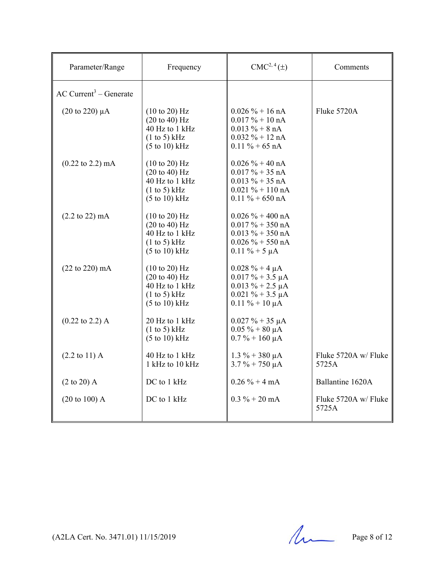| Parameter/Range                      | Frequency                                                                                                                          | $CMC2, 4(\pm)$                                                                                                             | Comments                      |
|--------------------------------------|------------------------------------------------------------------------------------------------------------------------------------|----------------------------------------------------------------------------------------------------------------------------|-------------------------------|
| $AC$ Current <sup>3</sup> – Generate |                                                                                                                                    |                                                                                                                            |                               |
| $(20 \text{ to } 220) \mu A$         | $(10 \text{ to } 20)$ Hz<br>$(20 \text{ to } 40)$ Hz<br>40 Hz to 1 kHz<br>(1 to 5) kHz<br>$(5 \text{ to } 10) \text{ kHz}$         | $0.026 \% + 16 nA$<br>$0.017\% + 10 \text{ nA}$<br>$0.013 \% + 8 nA$<br>$0.032 \% + 12 nA$<br>$0.11 \% + 65 nA$            | Fluke 5720A                   |
| $(0.22 \text{ to } 2.2) \text{ mA}$  | (10 to 20) Hz<br>$(20 \text{ to } 40)$ Hz<br>40 Hz to 1 kHz<br>(1 to 5) kHz<br>$(5 \text{ to } 10) \text{ kHz}$                    | $0.026 \% + 40 nA$<br>$0.017 \% + 35 nA$<br>$0.013 \% + 35 nA$<br>$0.021 \% + 110 nA$<br>$0.11 \% + 650 nA$                |                               |
| $(2.2 \text{ to } 22) \text{ mA}$    | $(10 \text{ to } 20)$ Hz<br>$(20 \text{ to } 40) \text{ Hz}$<br>40 Hz to 1 kHz<br>(1 to 5) kHz<br>$(5 \text{ to } 10) \text{ kHz}$ | $0.026 \% + 400 nA$<br>$0.017 \% + 350 nA$<br>$0.013 \% + 350 nA$<br>$0.026 \% + 550 nA$<br>$0.11 \% + 5 \mu A$            |                               |
| $(22 \text{ to } 220) \text{ mA}$    | $(10 \text{ to } 20)$ Hz<br>$(20 \text{ to } 40)$ Hz<br>40 Hz to 1 kHz<br>(1 to 5) kHz<br>$(5 \text{ to } 10) \text{ kHz}$         | $0.028 \% + 4 \mu A$<br>$0.017 \% + 3.5 \mu A$<br>$0.013 \% + 2.5 \mu A$<br>$0.021 \% + 3.5 \mu A$<br>$0.11 \% + 10 \mu A$ |                               |
| $(0.22 \text{ to } 2.2)$ A           | 20 Hz to 1 kHz<br>(1 to 5) kHz<br>$(5 \text{ to } 10) \text{ kHz}$                                                                 | $0.027 \% + 35 \mu A$<br>$0.05 \% + 80 \mu A$<br>$0.7\% + 160 \mu A$                                                       |                               |
| $(2.2 \text{ to } 11)$ A             | 40 Hz to 1 kHz<br>1 kHz to 10 kHz                                                                                                  | $1.3\% + 380 \mu A$<br>$3.7\% + 750 \mu A$                                                                                 | Fluke 5720A w/ Fluke<br>5725A |
| $(2 \text{ to } 20)$ A               | DC to 1 kHz                                                                                                                        | $0.26 \% + 4 mA$                                                                                                           | Ballantine 1620A              |
| $(20 \text{ to } 100)$ A             | DC to 1 kHz                                                                                                                        | $0.3 \% + 20$ mA                                                                                                           | Fluke 5720A w/ Fluke<br>5725A |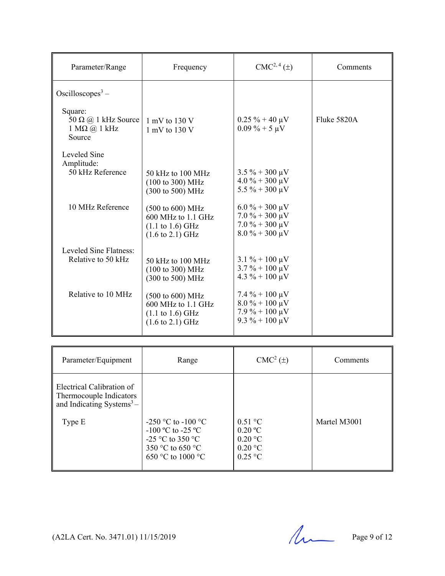| Parameter/Range                                                            | Frequency                                                                                                                               | $CMC2, 4(\pm)$                                                                                                           | Comments    |
|----------------------------------------------------------------------------|-----------------------------------------------------------------------------------------------------------------------------------------|--------------------------------------------------------------------------------------------------------------------------|-------------|
| Oscilloscopes <sup>3</sup> –                                               |                                                                                                                                         |                                                                                                                          |             |
| Square:<br>50 $\Omega$ @ 1 kHz Source<br>$1 M\Omega$ (a) $1 kHz$<br>Source | $1 \text{ mV}$ to $130 \text{ V}$<br>1 mV to 130 V                                                                                      | $0.25 \% + 40 \mu V$<br>$0.09\% + 5 \mu V$                                                                               | Fluke 5820A |
| Leveled Sine<br>Amplitude:<br>50 kHz Reference                             | 50 kHz to 100 MHz<br>$(100 \text{ to } 300) \text{ MHz}$<br>(300 to 500) MHz                                                            | $3.5\% + 300 \,\mu\text{V}$<br>$4.0\% + 300 \mu V$<br>$5.5\% + 300 \,\mu\text{V}$                                        |             |
| 10 MHz Reference                                                           | $(500 \text{ to } 600) \text{ MHz}$<br>600 MHz to 1.1 GHz<br>$(1.1 \text{ to } 1.6) \text{ GHz}$<br>$(1.6 \text{ to } 2.1) \text{ GHz}$ | $6.0\% + 300 \mu V$<br>$7.0\% + 300 \,\mu\text{V}$<br>$7.0\% + 300 \mu V$<br>$8.0\% + 300 \mu V$                         |             |
| Leveled Sine Flatness:<br>Relative to 50 kHz                               | 50 kHz to 100 MHz<br>$(100 \text{ to } 300) \text{ MHz}$<br>$(300 \text{ to } 500) \text{ MHz}$                                         | $3.1\% + 100 \,\mu\text{V}$<br>$3.7\% + 100 \,\mu\text{V}$<br>$4.3 \% + 100 \mu V$                                       |             |
| Relative to 10 MHz                                                         | $(500 \text{ to } 600) \text{ MHz}$<br>600 MHz to 1.1 GHz<br>$(1.1 \text{ to } 1.6) \text{ GHz}$<br>$(1.6 \text{ to } 2.1) \text{ GHz}$ | $7.4\% + 100 \,\mu\text{V}$<br>$8.0\% + 100 \,\mu\text{V}$<br>$7.9\% + 100 \,\mu\text{V}$<br>$9.3\% + 100 \,\mu\text{V}$ |             |

| Parameter/Equipment                                                                           | Range                                                                                                          | $CMC2(\pm)$                                                                              | Comments     |
|-----------------------------------------------------------------------------------------------|----------------------------------------------------------------------------------------------------------------|------------------------------------------------------------------------------------------|--------------|
| Electrical Calibration of<br>Thermocouple Indicators<br>and Indicating Systems $3-$<br>Type E | $-250$ °C to $-100$ °C<br>$-100$ °C to $-25$ °C<br>$-25$ °C to 350 °C<br>350 °C to 650 °C<br>650 °C to 1000 °C | $0.51 \degree C$<br>0.20 °C<br>$0.20 \degree C$<br>$0.20 \degree C$<br>$0.25 \text{ °C}$ | Martel M3001 |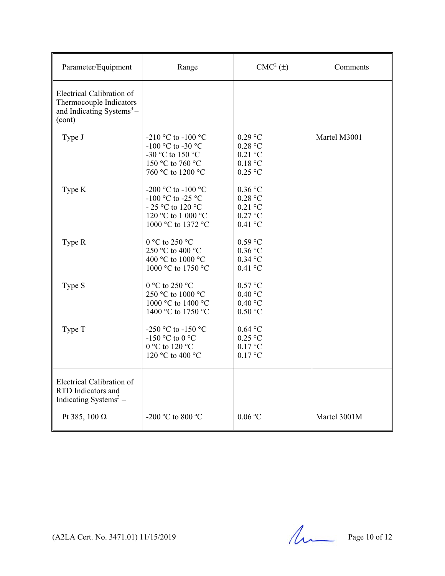| Parameter/Equipment                                                                                     | Range                                                                                                    | $CMC2(\pm)$                                                        | Comments     |
|---------------------------------------------------------------------------------------------------------|----------------------------------------------------------------------------------------------------------|--------------------------------------------------------------------|--------------|
| Electrical Calibration of<br>Thermocouple Indicators<br>and Indicating Systems <sup>3</sup> -<br>(cont) |                                                                                                          |                                                                    |              |
| Type J                                                                                                  | -210 °C to -100 °C<br>-100 °C to -30 °C<br>-30 °C to 150 °C<br>150 °C to 760 °C<br>760 °C to 1200 °C     | $0.29$ °C<br>0.28 °C<br>$0.21$ °C<br>0.18 °C<br>$0.25$ °C          | Martel M3001 |
| Type K                                                                                                  | -200 °C to -100 °C<br>-100 °C to -25 °C<br>- 25 °C to 120 °C<br>120 °C to 1 000 °C<br>1000 °C to 1372 °C | $0.36$ °C<br>0.28 °C<br>$0.21$ °C<br>$0.27$ °C<br>$0.41\text{ °C}$ |              |
| Type R                                                                                                  | 0 °C to 250 °C<br>250 °C to 400 °C<br>400 °C to 1000 °C<br>1000 °C to 1750 °C                            | $0.59$ °C<br>$0.36$ °C<br>$0.34$ °C<br>$0.41$ °C                   |              |
| Type S                                                                                                  | 0 °C to 250 °C<br>250 °C to 1000 °C<br>1000 °C to 1400 °C<br>1400 °C to 1750 °C                          | 0.57 °C<br>$0.40\text{ °C}$<br>0.40 °C<br>0.50 °C                  |              |
| Type T                                                                                                  | -250 °C to -150 °C<br>-150 °C to 0 °C<br>0 °C to 120 °C<br>120 °C to 400 °C                              | $0.64$ °C<br>$0.25$ °C<br>0.17 °C<br>$0.17$ °C                     |              |
| Electrical Calibration of<br>RTD Indicators and<br>Indicating Systems $3 -$                             |                                                                                                          |                                                                    |              |
| Pt 385, 100 $\Omega$                                                                                    | -200 °C to 800 °C                                                                                        | 0.06 °C                                                            | Martel 3001M |

(A2LA Cert. No. 3471.01) 11/15/2019 Page 10 of 12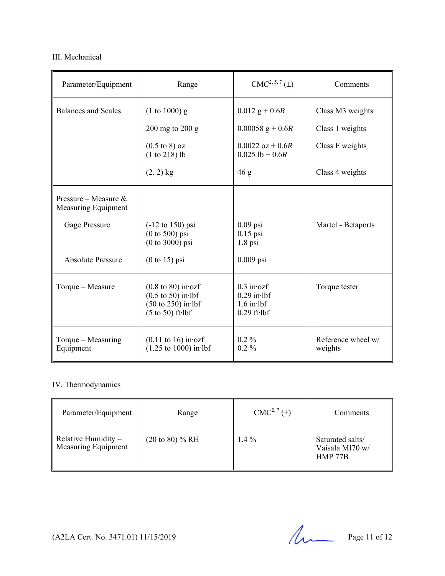### III. Mechanical

| Parameter/Equipment                            | Range                                                                                                                                  | $CMC2, 5, 7(\pm)$                                                        | Comments                      |
|------------------------------------------------|----------------------------------------------------------------------------------------------------------------------------------------|--------------------------------------------------------------------------|-------------------------------|
| <b>Balances and Scales</b>                     | $(1 to 1000)$ g                                                                                                                        | $0.012$ g + 0.6R                                                         | Class M3 weights              |
|                                                | $200$ mg to $200$ g                                                                                                                    | $0.00058$ g + 0.6R                                                       | Class 1 weights               |
|                                                | $(0.5 \text{ to } 8)$ oz<br>$(1 to 218)$ lb                                                                                            | $0.0022$ oz + 0.6R<br>$0.025$ lb + 0.6R                                  | Class F weights               |
|                                                | $(2.2)$ kg                                                                                                                             | 46 g                                                                     | Class 4 weights               |
| Pressure – Measure $\&$<br>Measuring Equipment |                                                                                                                                        |                                                                          |                               |
| Gage Pressure                                  | $(-12 \text{ to } 150) \text{ psi}$<br>$(0 to 500)$ psi<br>$(0 to 3000)$ psi                                                           | $0.09$ psi<br>$0.15$ psi<br>$1.8$ psi                                    | Martel - Betaports            |
| <b>Absolute Pressure</b>                       | $(0 to 15)$ psi                                                                                                                        | $0.009$ psi                                                              |                               |
| Torque - Measure                               | $(0.8 \text{ to } 80)$ in ozf<br>$(0.5 \text{ to } 50)$ in lbf<br>$(50 \text{ to } 250)$ in lbf<br>$(5 \text{ to } 50)$ ft $\cdot$ lbf | $0.3$ in $ozf$<br>$0.29$ in lbf<br>$1.6$ in lbf<br>$0.29$ ft $\cdot$ lbf | Torque tester                 |
| Torque $-$ Measuring<br>Equipment              | $(0.11$ to 16) in ozf<br>$(1.25 \text{ to } 1000) \text{ in-lbf}$                                                                      | $0.2\%$<br>$0.2\%$                                                       | Reference wheel w/<br>weights |

## IV. Thermodynamics

| Parameter/Equipment                        | Range                      | $CMC2, 7(\pm)$ | Comments                                       |
|--------------------------------------------|----------------------------|----------------|------------------------------------------------|
| Relative Humidity -<br>Measuring Equipment | $(20 \text{ to } 80)$ % RH | $1.4\%$        | Saturated salts/<br>Vaisala MI70 w/<br>HMP 77B |

(A2LA Cert. No. 3471.01) 11/15/2019 Page 11 of 12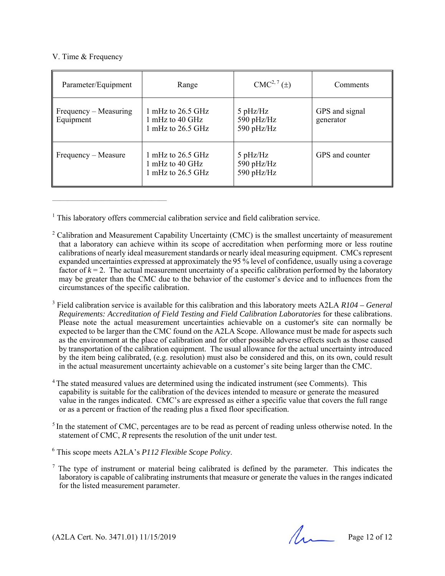#### V. Time & Frequency

 $\mathcal{L}_\text{max}$  and the contract of the contract of the contract of the contract of the contract of the contract of the contract of the contract of the contract of the contract of the contract of the contract of the contrac

| Parameter/Equipment                | Range                                                                             | $CMC2, 7(\pm)$                             | Comments                    |
|------------------------------------|-----------------------------------------------------------------------------------|--------------------------------------------|-----------------------------|
| Frequency – Measuring<br>Equipment | 1 mHz to $26.5$ GHz<br>1 mHz to 40 GHz<br>1 mHz to $26.5$ GHz                     | $5$ pHz/Hz<br>590 $pHz/Hz$<br>590 $pHz/Hz$ | GPS and signal<br>generator |
| Frequency – Measure                | 1 mHz to $26.5$ GHz<br>$1 \text{ mHz}$ to $40 \text{ GHz}$<br>1 mHz to $26.5$ GHz | $5$ pHz/Hz<br>590 $pHz/Hz$<br>590 $pHz/Hz$ | GPS and counter             |

<sup>1</sup> This laboratory offers commercial calibration service and field calibration service.

3 Field calibration service is available for this calibration and this laboratory meets A2LA *R104 – General Requirements: Accreditation of Field Testing and Field Calibration Laboratories* for these calibrations. Please note the actual measurement uncertainties achievable on a customer's site can normally be expected to be larger than the CMC found on the A2LA Scope. Allowance must be made for aspects such as the environment at the place of calibration and for other possible adverse effects such as those caused by transportation of the calibration equipment. The usual allowance for the actual uncertainty introduced by the item being calibrated, (e.g. resolution) must also be considered and this, on its own, could result in the actual measurement uncertainty achievable on a customer's site being larger than the CMC.

- <sup>4</sup> The stated measured values are determined using the indicated instrument (see Comments). This capability is suitable for the calibration of the devices intended to measure or generate the measured value in the ranges indicated. CMC's are expressed as either a specific value that covers the full range or as a percent or fraction of the reading plus a fixed floor specification.
- <sup>5</sup> In the statement of CMC, percentages are to be read as percent of reading unless otherwise noted. In the statement of CMC, *R* represents the resolution of the unit under test.
- 6 This scope meets A2LA's *P112 Flexible Scope Policy*.
- $<sup>7</sup>$  The type of instrument or material being calibrated is defined by the parameter. This indicates the</sup> laboratory is capable of calibrating instruments that measure or generate the values in the ranges indicated for the listed measurement parameter.

 $(A2LA$  Cert. No. 3471.01) 11/15/2019 Page 12 of 12

<sup>&</sup>lt;sup>2</sup> Calibration and Measurement Capability Uncertainty (CMC) is the smallest uncertainty of measurement that a laboratory can achieve within its scope of accreditation when performing more or less routine calibrations of nearly ideal measurement standards or nearly ideal measuring equipment. CMCs represent expanded uncertainties expressed at approximately the 95 % level of confidence, usually using a coverage factor of  $k = 2$ . The actual measurement uncertainty of a specific calibration performed by the laboratory may be greater than the CMC due to the behavior of the customer's device and to influences from the circumstances of the specific calibration.